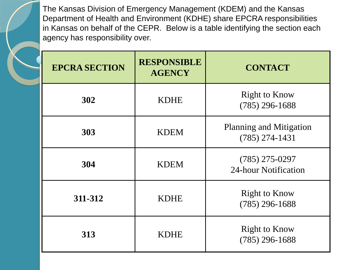The Kansas Division of Emergency Management (KDEM) and the Kansas Department of Health and Environment (KDHE) share EPCRA responsibilities in Kansas on behalf of the CEPR. Below is a table identifying the section each agency has responsibility over.

| <b>EPCRA SECTION</b> | <b>RESPONSIBLE</b><br><b>AGENCY</b> | <b>CONTACT</b>                                     |
|----------------------|-------------------------------------|----------------------------------------------------|
| 302                  | <b>KDHE</b>                         | <b>Right to Know</b><br>$(785)$ 296-1688           |
| 303                  | <b>KDEM</b>                         | <b>Planning and Mitigation</b><br>$(785)$ 274-1431 |
| 304                  | <b>KDEM</b>                         | $(785)$ 275-0297<br>24-hour Notification           |
| 311-312              | <b>KDHE</b>                         | Right to Know<br>$(785)$ 296-1688                  |
| 313                  | <b>KDHE</b>                         | <b>Right to Know</b><br>$(785)$ 296-1688           |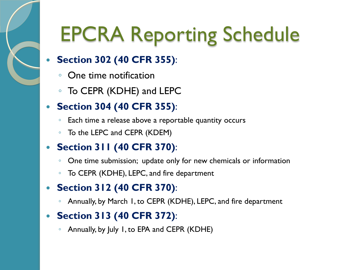

#### **Section 302 (40 CFR 355)**:

- One time notification
- To CEPR (KDHE) and LEPC

### **Section 304 (40 CFR 355)**:

- Each time a release above a reportable quantity occurs
- To the LEPC and CEPR (KDEM)

#### **Section 311 (40 CFR 370)**:

- One time submission; update only for new chemicals or information
- To CEPR (KDHE), LEPC, and fire department

#### **Section 312 (40 CFR 370)**:

◦ Annually, by March 1, to CEPR (KDHE), LEPC, and fire department

#### **Section 313 (40 CFR 372)**:

◦ Annually, by July 1, to EPA and CEPR (KDHE)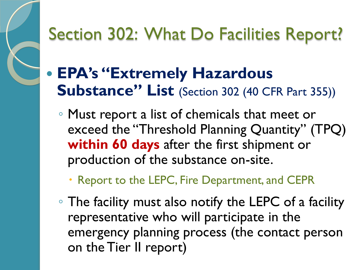

## **EPA's "Extremely Hazardous Substance" List** (Section 302 (40 CFR Part 355))

◦ Must report a list of chemicals that meet or exceed the "Threshold Planning Quantity" (TPQ) **within 60 days** after the first shipment or production of the substance on-site.

Report to the LEPC, Fire Department, and CEPR

◦ The facility must also notify the LEPC of a facility representative who will participate in the emergency planning process (the contact person on the Tier II report)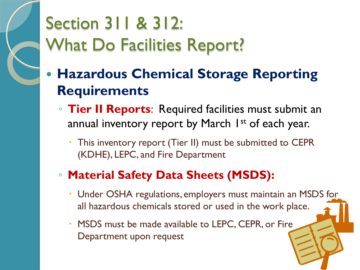

## Section 311 & 312: What Do Facilities Report?

- **Hazardous Chemical Storage Reporting Requirements** 
	- **Tier II Reports**: Required facilities must submit an annual inventory report by March 1<sup>st</sup> of each year.
		- This inventory report (Tier II) must be submitted to CEPR (KDHE), LEPC, and Fire Department

## ◦ **Material Safety Data Sheets (MSDS):**

- Under OSHA regulations, employers must maintain an MSDS for all hazardous chemicals stored or used in the work place.
- MSDS must be made available to LEPC, CEPR, or Fire Department upon request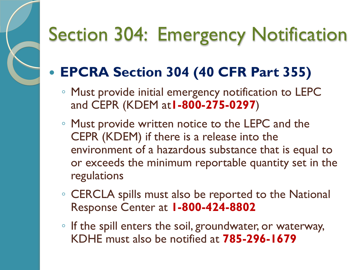# Section 304: Emergency Notification

## **EPCRA Section 304 (40 CFR Part 355)**

- Must provide initial emergency notification to LEPC and CEPR (KDEM at**1-800-275-0297**)
- Must provide written notice to the LEPC and the CEPR (KDEM) if there is a release into the environment of a hazardous substance that is equal to or exceeds the minimum reportable quantity set in the regulations
- CERCLA spills must also be reported to the National Response Center at **1-800-424-8802**
- If the spill enters the soil, groundwater, or waterway, KDHE must also be notified at **785-296-1679**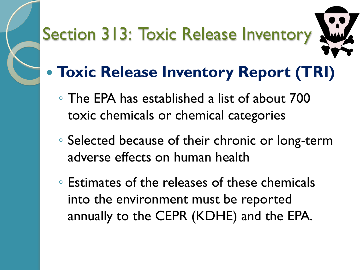# Section 313: Toxic Release Inventory



## **Toxic Release Inventory Report (TRI)**

- The EPA has established a list of about 700 toxic chemicals or chemical categories
- Selected because of their chronic or long-term adverse effects on human health
- Estimates of the releases of these chemicals into the environment must be reported annually to the CEPR (KDHE) and the EPA.